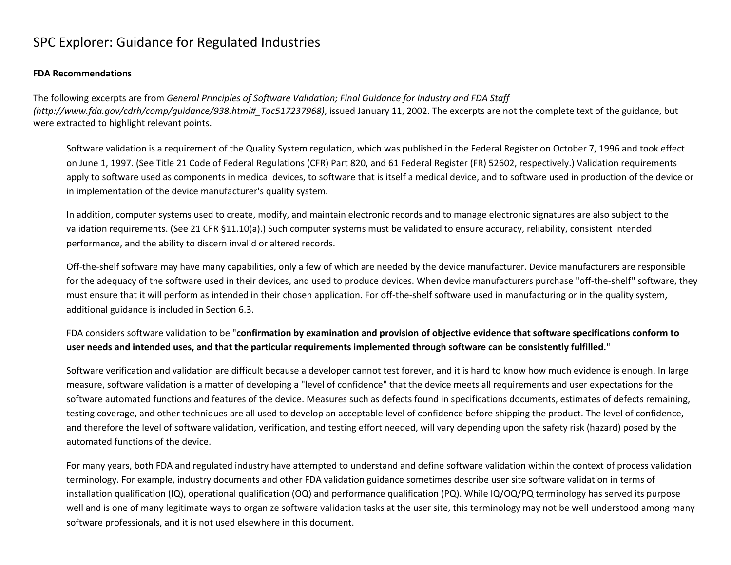## SPC Explorer: Guidance for Regulated Industries

## **FDA Recommendations**

The following excerpts are from *General Principles of Software Validation; Final Guidance for Industry and FDA Staff (http://www.fda.gov/cdrh/comp/guidance/938.html#\_Toc517237968)*, issued January 11, 2002. The excerpts are not the complete text of the guidance, but were extracted to highlight relevant points.

Software validation is a requirement of the Quality System regulation, which was published in the Federal Register on October 7, 1996 and took effect on June 1, 1997. (See Title 21 Code of Federal Regulations (CFR) Part 820, and 61 Federal Register (FR) 52602, respectively.) Validation requirements apply to software used as components in medical devices, to software that is itself a medical device, and to software used in production of the device or in implementation of the device manufacturer's quality system.

In addition, computer systems used to create, modify, and maintain electronic records and to manage electronic signatures are also subject to the validation requirements. (See 21 CFR §11.10(a).) Such computer systems must be validated to ensure accuracy, reliability, consistent intended performance, and the ability to discern invalid or altered records.

Off-the-shelf software may have many capabilities, only a few of which are needed by the device manufacturer. Device manufacturers are responsible for the adequacy of the software used in their devices, and used to produce devices. When device manufacturers purchase "off-the-shelf'' software, they must ensure that it will perform as intended in their chosen application. For off-the-shelf software used in manufacturing or in the quality system, additional guidance is included in Section 6.3.

FDA considers software validation to be "**confirmation by examination and provision of objective evidence that software specifications conform to user needs and intended uses, and that the particular requirements implemented through software can be consistently fulfilled.**"

Software verification and validation are difficult because a developer cannot test forever, and it is hard to know how much evidence is enough. In large measure, software validation is a matter of developing a "level of confidence" that the device meets all requirements and user expectations for the software automated functions and features of the device. Measures such as defects found in specifications documents, estimates of defects remaining, testing coverage, and other techniques are all used to develop an acceptable level of confidence before shipping the product. The level of confidence, and therefore the level of software validation, verification, and testing effort needed, will vary depending upon the safety risk (hazard) posed by the automated functions of the device.

For many years, both FDA and regulated industry have attempted to understand and define software validation within the context of process validation terminology. For example, industry documents and other FDA validation guidance sometimes describe user site software validation in terms of installation qualification (IQ), operational qualification (OQ) and performance qualification (PQ). While IQ/OQ/PQ terminology has served its purpose well and is one of many legitimate ways to organize software validation tasks at the user site, this terminology may not be well understood among many software professionals, and it is not used elsewhere in this document.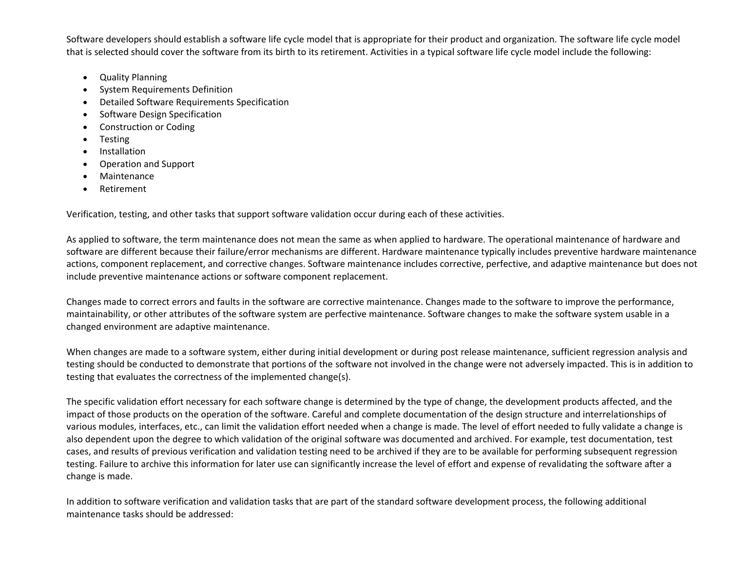Software developers should establish a software life cycle model that is appropriate for their product and organization. The software life cycle model that is selected should cover the software from its birth to its retirement. Activities in a typical software life cycle model include the following:

- Quality Planning
- System Requirements Definition
- Detailed Software Requirements Specification
- Software Design Specification
- Construction or Coding
- Testing
- **Installation**
- Operation and Support
- Maintenance
- Retirement

Verification, testing, and other tasks that support software validation occur during each of these activities.

As applied to software, the term maintenance does not mean the same as when applied to hardware. The operational maintenance of hardware and software are different because their failure/error mechanisms are different. Hardware maintenance typically includes preventive hardware maintenance actions, component replacement, and corrective changes. Software maintenance includes corrective, perfective, and adaptive maintenance but does not include preventive maintenance actions or software component replacement.

Changes made to correct errors and faults in the software are corrective maintenance. Changes made to the software to improve the performance, maintainability, or other attributes of the software system are perfective maintenance. Software changes to make the software system usable in a changed environment are adaptive maintenance.

When changes are made to a software system, either during initial development or during post release maintenance, sufficient regression analysis and testing should be conducted to demonstrate that portions of the software not involved in the change were not adversely impacted. This is in addition to testing that evaluates the correctness of the implemented change(s).

The specific validation effort necessary for each software change is determined by the type of change, the development products affected, and the impact of those products on the operation of the software. Careful and complete documentation of the design structure and interrelationships of various modules, interfaces, etc., can limit the validation effort needed when a change is made. The level of effort needed to fully validate a change is also dependent upon the degree to which validation of the original software was documented and archived. For example, test documentation, test cases, and results of previous verification and validation testing need to be archived if they are to be available for performing subsequent regression testing. Failure to archive this information for later use can significantly increase the level of effort and expense of revalidating the software after a change is made.

In addition to software verification and validation tasks that are part of the standard software development process, the following additional maintenance tasks should be addressed: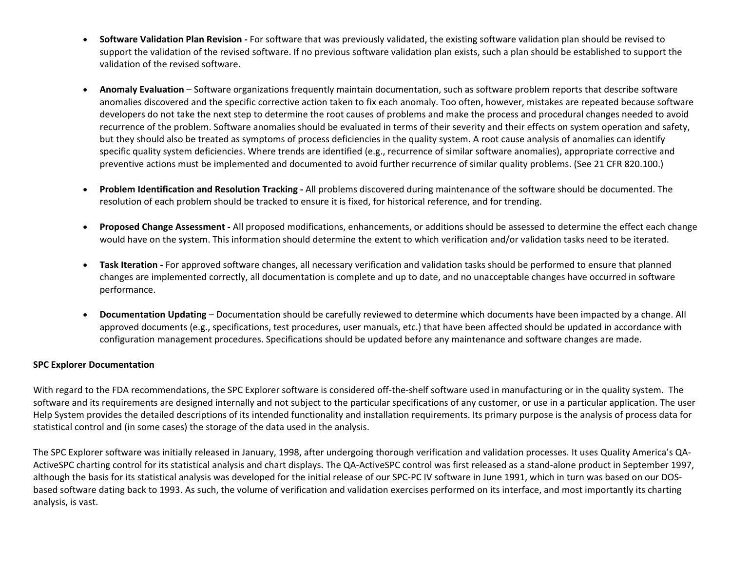- **Software Validation Plan Revision -** For software that was previously validated, the existing software validation plan should be revised to support the validation of the revised software. If no previous software validation plan exists, such a plan should be established to support the validation of the revised software.
- **Anomaly Evaluation** Software organizations frequently maintain documentation, such as software problem reports that describe software anomalies discovered and the specific corrective action taken to fix each anomaly. Too often, however, mistakes are repeated because software developers do not take the next step to determine the root causes of problems and make the process and procedural changes needed to avoid recurrence of the problem. Software anomalies should be evaluated in terms of their severity and their effects on system operation and safety, but they should also be treated as symptoms of process deficiencies in the quality system. A root cause analysis of anomalies can identify specific quality system deficiencies. Where trends are identified (e.g., recurrence of similar software anomalies), appropriate corrective and preventive actions must be implemented and documented to avoid further recurrence of similar quality problems. (See 21 CFR 820.100.)
- **Problem Identification and Resolution Tracking -** All problems discovered during maintenance of the software should be documented. The resolution of each problem should be tracked to ensure it is fixed, for historical reference, and for trending.
- **Proposed Change Assessment -** All proposed modifications, enhancements, or additions should be assessed to determine the effect each change would have on the system. This information should determine the extent to which verification and/or validation tasks need to be iterated.
- **Task Iteration -** For approved software changes, all necessary verification and validation tasks should be performed to ensure that planned changes are implemented correctly, all documentation is complete and up to date, and no unacceptable changes have occurred in software performance.
- **Documentation Updating** Documentation should be carefully reviewed to determine which documents have been impacted by a change. All approved documents (e.g., specifications, test procedures, user manuals, etc.) that have been affected should be updated in accordance with configuration management procedures. Specifications should be updated before any maintenance and software changes are made.

## **SPC Explorer Documentation**

With regard to the FDA recommendations, the SPC Explorer software is considered off-the-shelf software used in manufacturing or in the quality system. The software and its requirements are designed internally and not subject to the particular specifications of any customer, or use in a particular application. The user Help System provides the detailed descriptions of its intended functionality and installation requirements. Its primary purpose is the analysis of process data for statistical control and (in some cases) the storage of the data used in the analysis.

The SPC Explorer software was initially released in January, 1998, after undergoing thorough verification and validation processes. It uses Quality America's QA-ActiveSPC charting control for its statistical analysis and chart displays. The QA-ActiveSPC control was first released as a stand-alone product in September 1997, although the basis for its statistical analysis was developed for the initial release of our SPC-PC IV software in June 1991, which in turn was based on our DOSbased software dating back to 1993. As such, the volume of verification and validation exercises performed on its interface, and most importantly its charting analysis, is vast.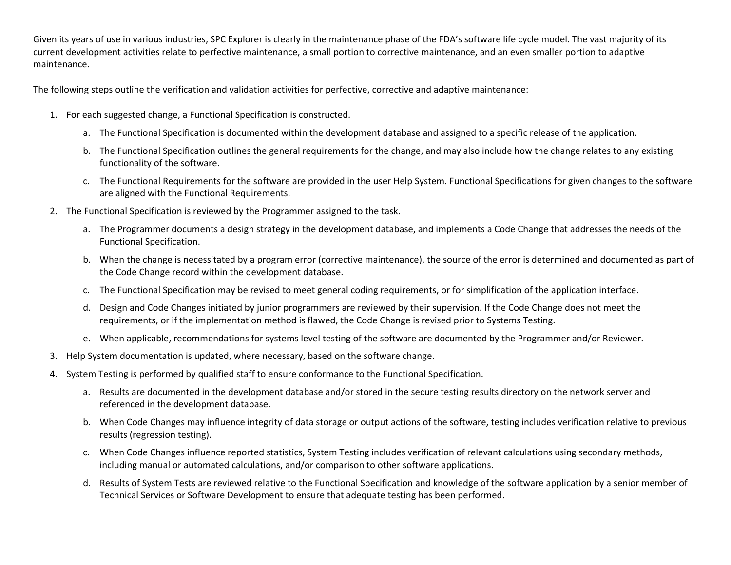Given its years of use in various industries, SPC Explorer is clearly in the maintenance phase of the FDA's software life cycle model. The vast majority of its current development activities relate to perfective maintenance, a small portion to corrective maintenance, and an even smaller portion to adaptive maintenance.

The following steps outline the verification and validation activities for perfective, corrective and adaptive maintenance:

- 1. For each suggested change, a Functional Specification is constructed.
	- a. The Functional Specification is documented within the development database and assigned to a specific release of the application.
	- b. The Functional Specification outlines the general requirements for the change, and may also include how the change relates to any existing functionality of the software.
	- c. The Functional Requirements for the software are provided in the user Help System. Functional Specifications for given changes to the software are aligned with the Functional Requirements.
- 2. The Functional Specification is reviewed by the Programmer assigned to the task.
	- a. The Programmer documents a design strategy in the development database, and implements a Code Change that addresses the needs of the Functional Specification.
	- b. When the change is necessitated by a program error (corrective maintenance), the source of the error is determined and documented as part of the Code Change record within the development database.
	- c. The Functional Specification may be revised to meet general coding requirements, or for simplification of the application interface.
	- d. Design and Code Changes initiated by junior programmers are reviewed by their supervision. If the Code Change does not meet the requirements, or if the implementation method is flawed, the Code Change is revised prior to Systems Testing.
	- e. When applicable, recommendations for systems level testing of the software are documented by the Programmer and/or Reviewer.
- 3. Help System documentation is updated, where necessary, based on the software change.
- 4. System Testing is performed by qualified staff to ensure conformance to the Functional Specification.
	- a. Results are documented in the development database and/or stored in the secure testing results directory on the network server and referenced in the development database.
	- b. When Code Changes may influence integrity of data storage or output actions of the software, testing includes verification relative to previous results (regression testing).
	- c. When Code Changes influence reported statistics, System Testing includes verification of relevant calculations using secondary methods, including manual or automated calculations, and/or comparison to other software applications.
	- d. Results of System Tests are reviewed relative to the Functional Specification and knowledge of the software application by a senior member of Technical Services or Software Development to ensure that adequate testing has been performed.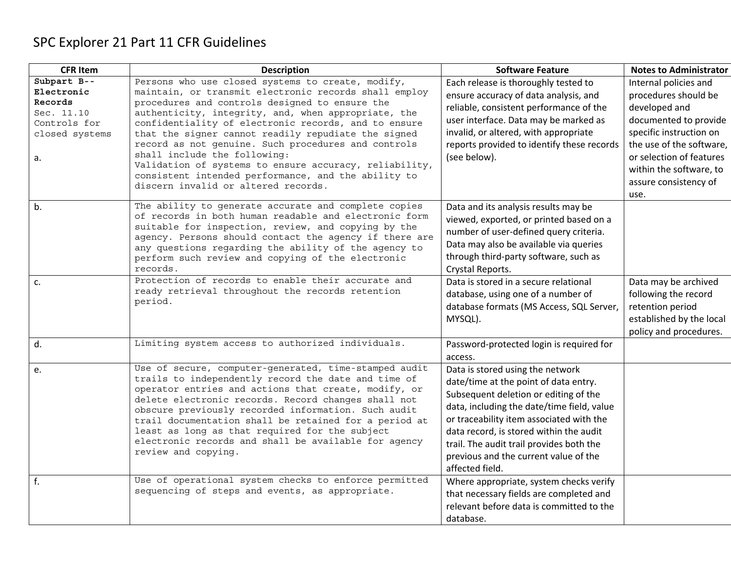## SPC Explorer 21 Part 11 CFR Guidelines

| <b>CFR Item</b>                                                                            | <b>Description</b>                                                                                                                                                                                                                                                                                                                                                                                                                                                                                                                                                                | <b>Software Feature</b>                                                                                                                                                                                                                                                                                                                                         | <b>Notes to Administrator</b>                                                                                                                                                                                                          |
|--------------------------------------------------------------------------------------------|-----------------------------------------------------------------------------------------------------------------------------------------------------------------------------------------------------------------------------------------------------------------------------------------------------------------------------------------------------------------------------------------------------------------------------------------------------------------------------------------------------------------------------------------------------------------------------------|-----------------------------------------------------------------------------------------------------------------------------------------------------------------------------------------------------------------------------------------------------------------------------------------------------------------------------------------------------------------|----------------------------------------------------------------------------------------------------------------------------------------------------------------------------------------------------------------------------------------|
| Subpart B--<br>Electronic<br>Records<br>Sec. 11.10<br>Controls for<br>closed systems<br>a. | Persons who use closed systems to create, modify,<br>maintain, or transmit electronic records shall employ<br>procedures and controls designed to ensure the<br>authenticity, integrity, and, when appropriate, the<br>confidentiality of electronic records, and to ensure<br>that the signer cannot readily repudiate the signed<br>record as not genuine. Such procedures and controls<br>shall include the following:<br>Validation of systems to ensure accuracy, reliability,<br>consistent intended performance, and the ability to<br>discern invalid or altered records. | Each release is thoroughly tested to<br>ensure accuracy of data analysis, and<br>reliable, consistent performance of the<br>user interface. Data may be marked as<br>invalid, or altered, with appropriate<br>reports provided to identify these records<br>(see below).                                                                                        | Internal policies and<br>procedures should be<br>developed and<br>documented to provide<br>specific instruction on<br>the use of the software,<br>or selection of features<br>within the software, to<br>assure consistency of<br>use. |
| b.                                                                                         | The ability to generate accurate and complete copies<br>of records in both human readable and electronic form<br>suitable for inspection, review, and copying by the<br>agency. Persons should contact the agency if there are<br>any questions regarding the ability of the agency to<br>perform such review and copying of the electronic<br>records.                                                                                                                                                                                                                           | Data and its analysis results may be<br>viewed, exported, or printed based on a<br>number of user-defined query criteria.<br>Data may also be available via queries<br>through third-party software, such as<br>Crystal Reports.                                                                                                                                |                                                                                                                                                                                                                                        |
| c.                                                                                         | Protection of records to enable their accurate and<br>ready retrieval throughout the records retention<br>period.                                                                                                                                                                                                                                                                                                                                                                                                                                                                 | Data is stored in a secure relational<br>database, using one of a number of<br>database formats (MS Access, SQL Server,<br>MYSQL).                                                                                                                                                                                                                              | Data may be archived<br>following the record<br>retention period<br>established by the local<br>policy and procedures.                                                                                                                 |
| d.                                                                                         | Limiting system access to authorized individuals.                                                                                                                                                                                                                                                                                                                                                                                                                                                                                                                                 | Password-protected login is required for<br>access.                                                                                                                                                                                                                                                                                                             |                                                                                                                                                                                                                                        |
| e.                                                                                         | Use of secure, computer-generated, time-stamped audit<br>trails to independently record the date and time of<br>operator entries and actions that create, modify, or<br>delete electronic records. Record changes shall not<br>obscure previously recorded information. Such audit<br>trail documentation shall be retained for a period at<br>least as long as that required for the subject<br>electronic records and shall be available for agency<br>review and copying.                                                                                                      | Data is stored using the network<br>date/time at the point of data entry.<br>Subsequent deletion or editing of the<br>data, including the date/time field, value<br>or traceability item associated with the<br>data record, is stored within the audit<br>trail. The audit trail provides both the<br>previous and the current value of the<br>affected field. |                                                                                                                                                                                                                                        |
| f.                                                                                         | Use of operational system checks to enforce permitted<br>sequencing of steps and events, as appropriate.                                                                                                                                                                                                                                                                                                                                                                                                                                                                          | Where appropriate, system checks verify<br>that necessary fields are completed and<br>relevant before data is committed to the<br>database.                                                                                                                                                                                                                     |                                                                                                                                                                                                                                        |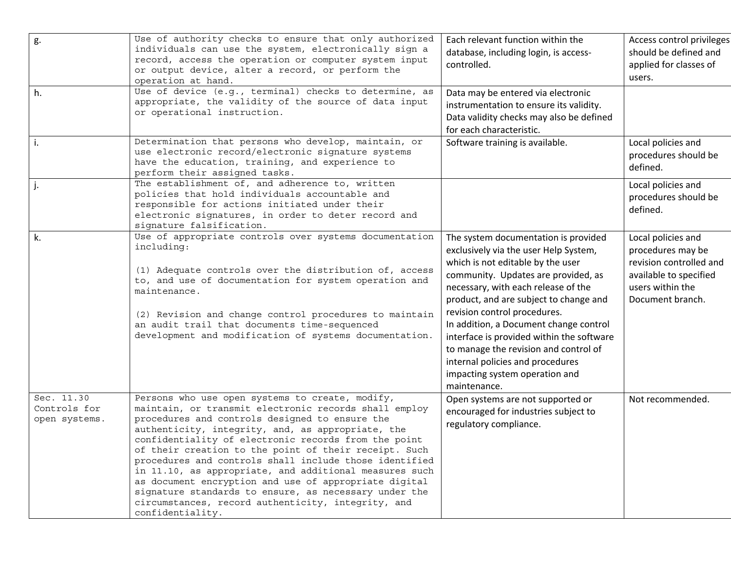| g.                                          | Use of authority checks to ensure that only authorized<br>individuals can use the system, electronically sign a<br>record, access the operation or computer system input<br>or output device, alter a record, or perform the<br>operation at hand.                                                                                                                                                                                                                                                                                                                                                                                               | Each relevant function within the<br>database, including login, is access-<br>controlled.                                                                                                                                                                                                                                                                                                                                                                                                        | Access control privileges<br>should be defined and<br>applied for classes of<br>users.                                               |
|---------------------------------------------|--------------------------------------------------------------------------------------------------------------------------------------------------------------------------------------------------------------------------------------------------------------------------------------------------------------------------------------------------------------------------------------------------------------------------------------------------------------------------------------------------------------------------------------------------------------------------------------------------------------------------------------------------|--------------------------------------------------------------------------------------------------------------------------------------------------------------------------------------------------------------------------------------------------------------------------------------------------------------------------------------------------------------------------------------------------------------------------------------------------------------------------------------------------|--------------------------------------------------------------------------------------------------------------------------------------|
| h.                                          | Use of device (e.g., terminal) checks to determine, as<br>appropriate, the validity of the source of data input<br>or operational instruction.                                                                                                                                                                                                                                                                                                                                                                                                                                                                                                   | Data may be entered via electronic<br>instrumentation to ensure its validity.<br>Data validity checks may also be defined<br>for each characteristic.                                                                                                                                                                                                                                                                                                                                            |                                                                                                                                      |
| i.                                          | Determination that persons who develop, maintain, or<br>use electronic record/electronic signature systems<br>have the education, training, and experience to<br>perform their assigned tasks.                                                                                                                                                                                                                                                                                                                                                                                                                                                   | Software training is available.                                                                                                                                                                                                                                                                                                                                                                                                                                                                  | Local policies and<br>procedures should be<br>defined.                                                                               |
|                                             | The establishment of, and adherence to, written<br>policies that hold individuals accountable and<br>responsible for actions initiated under their<br>electronic signatures, in order to deter record and<br>signature falsification.                                                                                                                                                                                                                                                                                                                                                                                                            |                                                                                                                                                                                                                                                                                                                                                                                                                                                                                                  | Local policies and<br>procedures should be<br>defined.                                                                               |
| k.                                          | Use of appropriate controls over systems documentation<br>including:<br>(1) Adequate controls over the distribution of, access<br>to, and use of documentation for system operation and<br>maintenance.<br>(2) Revision and change control procedures to maintain<br>an audit trail that documents time-sequenced<br>development and modification of systems documentation.                                                                                                                                                                                                                                                                      | The system documentation is provided<br>exclusively via the user Help System,<br>which is not editable by the user<br>community. Updates are provided, as<br>necessary, with each release of the<br>product, and are subject to change and<br>revision control procedures.<br>In addition, a Document change control<br>interface is provided within the software<br>to manage the revision and control of<br>internal policies and procedures<br>impacting system operation and<br>maintenance. | Local policies and<br>procedures may be<br>revision controlled and<br>available to specified<br>users within the<br>Document branch. |
| Sec. 11.30<br>Controls for<br>open systems. | Persons who use open systems to create, modify,<br>maintain, or transmit electronic records shall employ<br>procedures and controls designed to ensure the<br>authenticity, integrity, and, as appropriate, the<br>confidentiality of electronic records from the point<br>of their creation to the point of their receipt. Such<br>procedures and controls shall include those identified<br>in 11.10, as appropriate, and additional measures such<br>as document encryption and use of appropriate digital<br>signature standards to ensure, as necessary under the<br>circumstances, record authenticity, integrity, and<br>confidentiality. | Open systems are not supported or<br>encouraged for industries subject to<br>regulatory compliance.                                                                                                                                                                                                                                                                                                                                                                                              | Not recommended.                                                                                                                     |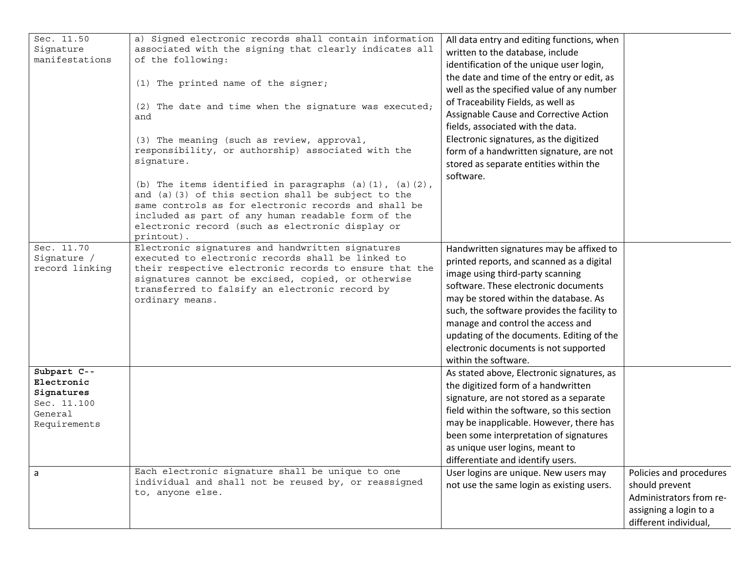| Sec. 11.50             | a) Signed electronic records shall contain information                                                                    | All data entry and editing functions, when  |                         |
|------------------------|---------------------------------------------------------------------------------------------------------------------------|---------------------------------------------|-------------------------|
| Signature              | associated with the signing that clearly indicates all                                                                    | written to the database, include            |                         |
| manifestations         | of the following:                                                                                                         | identification of the unique user login,    |                         |
|                        |                                                                                                                           | the date and time of the entry or edit, as  |                         |
|                        | (1) The printed name of the signer;                                                                                       | well as the specified value of any number   |                         |
|                        |                                                                                                                           | of Traceability Fields, as well as          |                         |
|                        | (2) The date and time when the signature was executed;                                                                    | Assignable Cause and Corrective Action      |                         |
|                        | and                                                                                                                       | fields, associated with the data.           |                         |
|                        |                                                                                                                           |                                             |                         |
|                        | (3) The meaning (such as review, approval,                                                                                | Electronic signatures, as the digitized     |                         |
|                        | responsibility, or authorship) associated with the                                                                        | form of a handwritten signature, are not    |                         |
|                        | signature.                                                                                                                | stored as separate entities within the      |                         |
|                        |                                                                                                                           | software.                                   |                         |
|                        | (b) The items identified in paragraphs $(a)$ $(1)$ , $(a)$ $(2)$ ,<br>and (a) (3) of this section shall be subject to the |                                             |                         |
|                        | same controls as for electronic records and shall be                                                                      |                                             |                         |
|                        | included as part of any human readable form of the                                                                        |                                             |                         |
|                        | electronic record (such as electronic display or                                                                          |                                             |                         |
|                        | printout).                                                                                                                |                                             |                         |
| Sec. 11.70             | Electronic signatures and handwritten signatures                                                                          | Handwritten signatures may be affixed to    |                         |
| Signature /            | executed to electronic records shall be linked to                                                                         | printed reports, and scanned as a digital   |                         |
| record linking         | their respective electronic records to ensure that the                                                                    | image using third-party scanning            |                         |
|                        | signatures cannot be excised, copied, or otherwise                                                                        | software. These electronic documents        |                         |
|                        | transferred to falsify an electronic record by                                                                            | may be stored within the database. As       |                         |
|                        | ordinary means.                                                                                                           |                                             |                         |
|                        |                                                                                                                           | such, the software provides the facility to |                         |
|                        |                                                                                                                           | manage and control the access and           |                         |
|                        |                                                                                                                           | updating of the documents. Editing of the   |                         |
|                        |                                                                                                                           | electronic documents is not supported       |                         |
|                        |                                                                                                                           | within the software.                        |                         |
| Subpart C--            |                                                                                                                           | As stated above, Electronic signatures, as  |                         |
| Electronic             |                                                                                                                           | the digitized form of a handwritten         |                         |
| Signatures             |                                                                                                                           | signature, are not stored as a separate     |                         |
| Sec. 11.100<br>General |                                                                                                                           | field within the software, so this section  |                         |
| Requirements           |                                                                                                                           | may be inapplicable. However, there has     |                         |
|                        |                                                                                                                           | been some interpretation of signatures      |                         |
|                        |                                                                                                                           | as unique user logins, meant to             |                         |
|                        |                                                                                                                           | differentiate and identify users.           |                         |
|                        | Each electronic signature shall be unique to one                                                                          | User logins are unique. New users may       | Policies and procedures |
| a                      | individual and shall not be reused by, or reassigned                                                                      |                                             |                         |
|                        | to, anyone else.                                                                                                          | not use the same login as existing users.   | should prevent          |
|                        |                                                                                                                           |                                             | Administrators from re- |
|                        |                                                                                                                           |                                             | assigning a login to a  |
|                        |                                                                                                                           |                                             | different individual,   |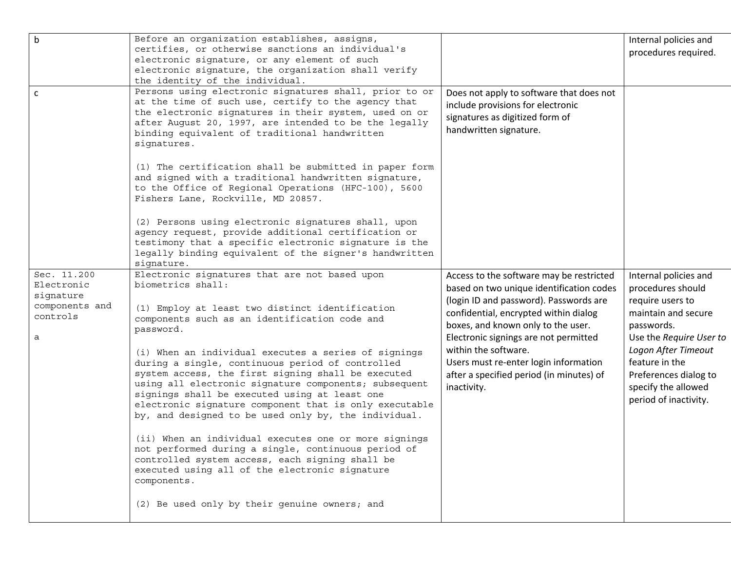| $\mathsf b$<br>$\mathsf{C}$                                               | Before an organization establishes, assigns,<br>certifies, or otherwise sanctions an individual's<br>electronic signature, or any element of such<br>electronic signature, the organization shall verify<br>the identity of the individual.<br>Persons using electronic signatures shall, prior to or<br>at the time of such use, certify to the agency that<br>the electronic signatures in their system, used on or<br>after August 20, 1997, are intended to be the legally<br>binding equivalent of traditional handwritten<br>signatures.                                                                                                                                                                                                                                                                                                                         | Does not apply to software that does not<br>include provisions for electronic<br>signatures as digitized form of<br>handwritten signature.                                                                                                                                                                                                                                         | Internal policies and<br>procedures required.                                                                                                                                                                                                    |
|---------------------------------------------------------------------------|------------------------------------------------------------------------------------------------------------------------------------------------------------------------------------------------------------------------------------------------------------------------------------------------------------------------------------------------------------------------------------------------------------------------------------------------------------------------------------------------------------------------------------------------------------------------------------------------------------------------------------------------------------------------------------------------------------------------------------------------------------------------------------------------------------------------------------------------------------------------|------------------------------------------------------------------------------------------------------------------------------------------------------------------------------------------------------------------------------------------------------------------------------------------------------------------------------------------------------------------------------------|--------------------------------------------------------------------------------------------------------------------------------------------------------------------------------------------------------------------------------------------------|
|                                                                           | (1) The certification shall be submitted in paper form<br>and signed with a traditional handwritten signature,<br>to the Office of Regional Operations (HFC-100), 5600<br>Fishers Lane, Rockville, MD 20857.<br>(2) Persons using electronic signatures shall, upon<br>agency request, provide additional certification or<br>testimony that a specific electronic signature is the<br>legally binding equivalent of the signer's handwritten<br>signature.                                                                                                                                                                                                                                                                                                                                                                                                            |                                                                                                                                                                                                                                                                                                                                                                                    |                                                                                                                                                                                                                                                  |
| Sec. 11.200<br>Electronic<br>signature<br>components and<br>controls<br>a | Electronic signatures that are not based upon<br>biometrics shall:<br>(1) Employ at least two distinct identification<br>components such as an identification code and<br>password.<br>(i) When an individual executes a series of signings<br>during a single, continuous period of controlled<br>system access, the first signing shall be executed<br>using all electronic signature components; subsequent<br>signings shall be executed using at least one<br>electronic signature component that is only executable<br>by, and designed to be used only by, the individual.<br>(ii) When an individual executes one or more signings<br>not performed during a single, continuous period of<br>controlled system access, each signing shall be<br>executed using all of the electronic signature<br>components.<br>(2) Be used only by their genuine owners; and | Access to the software may be restricted<br>based on two unique identification codes<br>(login ID and password). Passwords are<br>confidential, encrypted within dialog<br>boxes, and known only to the user.<br>Electronic signings are not permitted<br>within the software.<br>Users must re-enter login information<br>after a specified period (in minutes) of<br>inactivity. | Internal policies and<br>procedures should<br>require users to<br>maintain and secure<br>passwords.<br>Use the Require User to<br>Logon After Timeout<br>feature in the<br>Preferences dialog to<br>specify the allowed<br>period of inactivity. |